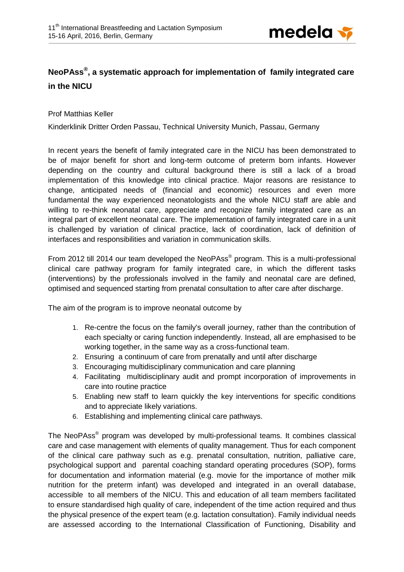

## **NeoPAss® , a systematic approach for implementation of family integrated care in the NICU**

Prof Matthias Keller

Kinderklinik Dritter Orden Passau, Technical University Munich, Passau, Germany

In recent years the benefit of family integrated care in the NICU has been demonstrated to be of major benefit for short and long-term outcome of preterm born infants. However depending on the country and cultural background there is still a lack of a broad implementation of this knowledge into clinical practice. Major reasons are resistance to change, anticipated needs of (financial and economic) resources and even more fundamental the way experienced neonatologists and the whole NICU staff are able and willing to re-think neonatal care, appreciate and recognize family integrated care as an integral part of excellent neonatal care. The implementation of family integrated care in a unit is challenged by variation of clinical practice, lack of coordination, lack of definition of interfaces and responsibilities and variation in communication skills.

From 2012 till 2014 our team developed the NeoPAss® program. This is a multi-professional clinical care pathway program for family integrated care, in which the different tasks (interventions) by the professionals involved in the family and neonatal care are defined, optimised and sequenced starting from prenatal consultation to after care after discharge.

The aim of the program is to improve neonatal outcome by

- 1. Re-centre the focus on the family's overall journey, rather than the contribution of each specialty or caring function independently. Instead, all are emphasised to be working together, in the same way as a cross-functional team.
- 2. Ensuring a continuum of care from prenatally and until after discharge
- 3. Encouraging multidisciplinary communication and care planning
- 4. Facilitating multidisciplinary audit and prompt incorporation of improvements in care into routine practice
- 5. Enabling new staff to learn quickly the key interventions for specific conditions and to appreciate likely variations.
- 6. Establishing and implementing clinical care pathways.

The NeoPAss<sup>®</sup> program was developed by multi-professional teams. It combines classical care and case management with elements of quality management. Thus for each component of the clinical care pathway such as e.g. prenatal consultation, nutrition, palliative care, psychological support and parental coaching standard operating procedures (SOP), forms for documentation and information material (e.g. movie for the importance of mother milk nutrition for the preterm infant) was developed and integrated in an overall database, accessible to all members of the NICU. This and education of all team members facilitated to ensure standardised high quality of care, independent of the time action required and thus the physical presence of the expert team (e.g. lactation consultation). Family individual needs are assessed according to the International Classification of Functioning, Disability and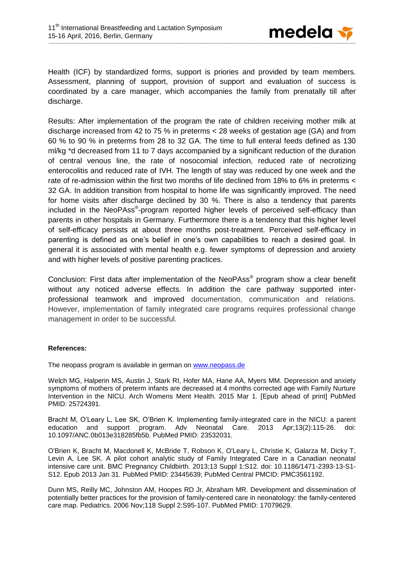

Health (ICF) by standardized forms, support is priories and provided by team members. Assessment, planning of support, provision of support and evaluation of success is coordinated by a care manager, which accompanies the family from prenatally till after discharge.

Results: After implementation of the program the rate of children receiving mother milk at discharge increased from 42 to 75 % in preterms < 28 weeks of gestation age (GA) and from 60 % to 90 % in preterms from 28 to 32 GA. The time to full enteral feeds defined as 130 ml/kg \*d decreased from 11 to 7 days accompanied by a significant reduction of the duration of central venous line, the rate of nosocomial infection, reduced rate of necrotizing enterocolitis and reduced rate of IVH. The length of stay was reduced by one week and the rate of re-admission within the first two months of life declined from 18% to 6% in preterms < 32 GA. In addition transition from hospital to home life was significantly improved. The need for home visits after discharge declined by 30 %. There is also a tendency that parents included in the NeoPAss®-program reported higher levels of perceived self-efficacy than parents in other hospitals in Germany. Furthermore there is a tendency that this higher level of self-efficacy persists at about three months post-treatment. Perceived self-efficacy in parenting is defined as one's belief in one's own capabilities to reach a desired goal. In general it is associated with mental health e.g. fewer symptoms of depression and anxiety and with higher levels of positive parenting practices.

Conclusion: First data after implementation of the NeoPAss® program show a clear benefit without any noticed adverse effects. In addition the care pathway supported interprofessional teamwork and improved documentation, communication and relations. However, implementation of family integrated care programs requires professional change management in order to be successful.

## **References:**

The neopass program is available in german on [www.neopass.de](http://www.neopass.de/)

Welch MG, Halperin MS, Austin J, Stark RI, Hofer MA, Hane AA, Myers MM. Depression and anxiety symptoms of mothers of preterm infants are decreased at 4 months corrected age with Family Nurture Intervention in the NICU. Arch Womens Ment Health. 2015 Mar 1. [Epub ahead of print] PubMed PMID: 25724391.

Bracht M, O'Leary L, Lee SK, O'Brien K. Implementing family-integrated care in the NICU: a parent education and support program. Adv Neonatal Care. 2013 Apr;13(2):115-26. doi: 10.1097/ANC.0b013e318285fb5b. PubMed PMID: 23532031.

O'Brien K, Bracht M, Macdonell K, McBride T, Robson K, O'Leary L, Christie K, Galarza M, Dicky T, Levin A, Lee SK. A pilot cohort analytic study of Family Integrated Care in a Canadian neonatal intensive care unit. BMC Pregnancy Childbirth. 2013;13 Suppl 1:S12. doi: 10.1186/1471-2393-13-S1- S12. Epub 2013 Jan 31. PubMed PMID: 23445639; PubMed Central PMCID: PMC3561192.

Dunn MS, Reilly MC, Johnston AM, Hoopes RD Jr, Abraham MR. Development and dissemination of potentially better practices for the provision of family-centered care in neonatology: the family-centered care map. Pediatrics. 2006 Nov;118 Suppl 2:S95-107. PubMed PMID: 17079629.